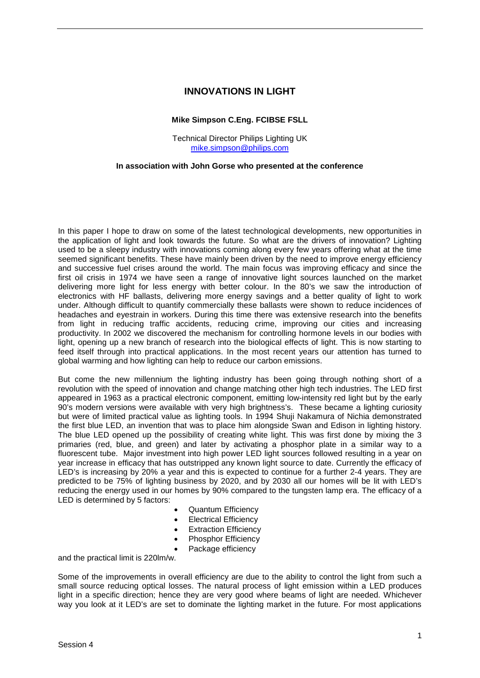# **INNOVATIONS IN LIGHT**

### **Mike Simpson C.Eng. FCIBSE FSLL**

Technical Director Philips Lighting UK [mike.simpson@philips.com](mailto:mike.simpson@philips.com)

#### **In association with John Gorse who presented at the conference**

In this paper I hope to draw on some of the latest technological developments, new opportunities in the application of light and look towards the future. So what are the drivers of innovation? Lighting used to be a sleepy industry with innovations coming along every few years offering what at the time seemed significant benefits. These have mainly been driven by the need to improve energy efficiency and successive fuel crises around the world. The main focus was improving efficacy and since the first oil crisis in 1974 we have seen a range of innovative light sources launched on the market delivering more light for less energy with better colour. In the 80's we saw the introduction of electronics with HF ballasts, delivering more energy savings and a better quality of light to work under. Although difficult to quantify commercially these ballasts were shown to reduce incidences of headaches and eyestrain in workers. During this time there was extensive research into the benefits from light in reducing traffic accidents, reducing crime, improving our cities and increasing productivity. In 2002 we discovered the mechanism for controlling hormone levels in our bodies with light, opening up a new branch of research into the biological effects of light. This is now starting to feed itself through into practical applications. In the most recent years our attention has turned to global warming and how lighting can help to reduce our carbon emissions.

But come the new millennium the lighting industry has been going through nothing short of a revolution with the speed of innovation and change matching other high tech industries. The LED first appeared in 1963 as a practical electronic component, emitting low-intensity red light but by the early 90's modern versions were available with very high brightness's. These became a lighting curiosity but were of limited practical value as lighting tools. In 1994 Shuji Nakamura of Nichia demonstrated the first blue LED, an invention that was to place him alongside Swan and Edison in lighting history. The blue LED opened up the possibility of creating white light. This was first done by mixing the 3 primaries (red, blue, and green) and later by activating a phosphor plate in a similar way to a fluorescent tube. Major investment into high power LED light sources followed resulting in a year on year increase in efficacy that has outstripped any known light source to date. Currently the efficacy of LED's is increasing by 20% a year and this is expected to continue for a further 2-4 years. They are predicted to be 75% of lighting business by 2020, and by 2030 all our homes will be lit with LED's reducing the energy used in our homes by 90% compared to the tungsten lamp era. The efficacy of a LED is determined by 5 factors:

- Quantum Efficiency
- **Electrical Efficiency**
- **Extraction Efficiency**
- Phosphor Efficiency
- Package efficiency

and the practical limit is 220lm/w.

Some of the improvements in overall efficiency are due to the ability to control the light from such a small source reducing optical losses. The natural process of light emission within a LED produces light in a specific direction; hence they are very good where beams of light are needed. Whichever way you look at it LED's are set to dominate the lighting market in the future. For most applications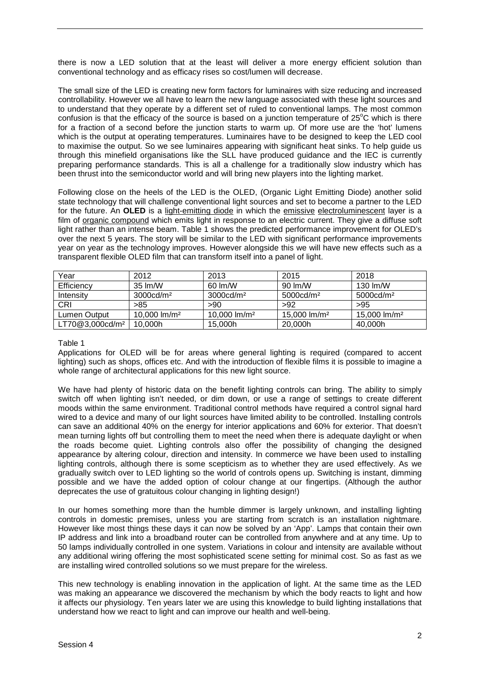there is now a LED solution that at the least will deliver a more energy efficient solution than conventional technology and as efficacy rises so cost/lumen will decrease.

The small size of the LED is creating new form factors for luminaires with size reducing and increased controllability. However we all have to learn the new language associated with these light sources and to understand that they operate by a different set of ruled to conventional lamps. The most common confusion is that the efficacy of the source is based on a junction temperature of  $25^{\circ}$ C which is there for a fraction of a second before the junction starts to warm up. Of more use are the 'hot' lumens which is the output at operating temperatures. Luminaires have to be designed to keep the LED cool to maximise the output. So we see luminaires appearing with significant heat sinks. To help quide us through this minefield organisations like the SLL have produced guidance and the IEC is currently preparing performance standards. This is all a challenge for a traditionally slow industry which has been thrust into the semiconductor world and will bring new players into the lighting market.

Following close on the heels of the LED is the OLED, (Organic Light Emitting Diode) another solid state technology that will challenge conventional light sources and set to become a partner to the LED for the future. An **OLED** is a [light-emitting diode](http://en.wikipedia.org/wiki/Light-emitting_diode) in which the [emissive](http://en.wikipedia.org/wiki/Emission_(electromagnetic_radiation)) [electroluminescent](http://en.wikipedia.org/wiki/Electroluminescence) layer is a film of [organic compound](http://en.wikipedia.org/wiki/Organic_compound) which emits light in response to an electric current. They give a diffuse soft light rather than an intense beam. Table 1 shows the predicted performance improvement for OLED's over the next 5 years. The story will be similar to the LED with significant performance improvements year on year as the technology improves. However alongside this we will have new effects such as a transparent flexible OLED film that can transform itself into a panel of light.

| Year                        | 2012                 | 2013                  | 2015                  | 2018                      |
|-----------------------------|----------------------|-----------------------|-----------------------|---------------------------|
| Efficiency                  | 35 lm/W              | 60 lm/W               | 90 lm/W               | 130 $Im/W$                |
| Intensity                   | $3000 \text{cd/m}^2$ | 3000cd/m <sup>2</sup> | 5000cd/m <sup>2</sup> | $5000 \text{cd/m}^2$      |
| CRI                         | >85                  | >90                   | >92                   | >95                       |
| Lumen Output                | 10.000 $\rm{Im/m^2}$ | 10.000 $\rm{Im/m^2}$  | 15,000 $\rm{Im/m^2}$  | 15,000 $\rm{Im}/\rm{m}^2$ |
| LT70@3,000cd/m <sup>2</sup> | 10,000h              | 15,000h               | 20,000h               | 40,000h                   |

#### Table 1

Applications for OLED will be for areas where general lighting is required (compared to accent lighting) such as shops, offices etc. And with the introduction of flexible films it is possible to imagine a whole range of architectural applications for this new light source.

We have had plenty of historic data on the benefit lighting controls can bring. The ability to simply switch off when lighting isn't needed, or dim down, or use a range of settings to create different moods within the same environment. Traditional control methods have required a control signal hard wired to a device and many of our light sources have limited ability to be controlled. Installing controls can save an additional 40% on the energy for interior applications and 60% for exterior. That doesn't mean turning lights off but controlling them to meet the need when there is adequate daylight or when the roads become quiet. Lighting controls also offer the possibility of changing the designed appearance by altering colour, direction and intensity. In commerce we have been used to installing lighting controls, although there is some scepticism as to whether they are used effectively. As we gradually switch over to LED lighting so the world of controls opens up. Switching is instant, dimming possible and we have the added option of colour change at our fingertips. (Although the author deprecates the use of gratuitous colour changing in lighting design!)

In our homes something more than the humble dimmer is largely unknown, and installing lighting controls in domestic premises, unless you are starting from scratch is an installation nightmare. However like most things these days it can now be solved by an 'App'. Lamps that contain their own IP address and link into a broadband router can be controlled from anywhere and at any time. Up to 50 lamps individually controlled in one system. Variations in colour and intensity are available without any additional wiring offering the most sophisticated scene setting for minimal cost. So as fast as we are installing wired controlled solutions so we must prepare for the wireless.

This new technology is enabling innovation in the application of light. At the same time as the LED was making an appearance we discovered the mechanism by which the body reacts to light and how it affects our physiology. Ten years later we are using this knowledge to build lighting installations that understand how we react to light and can improve our health and well-being.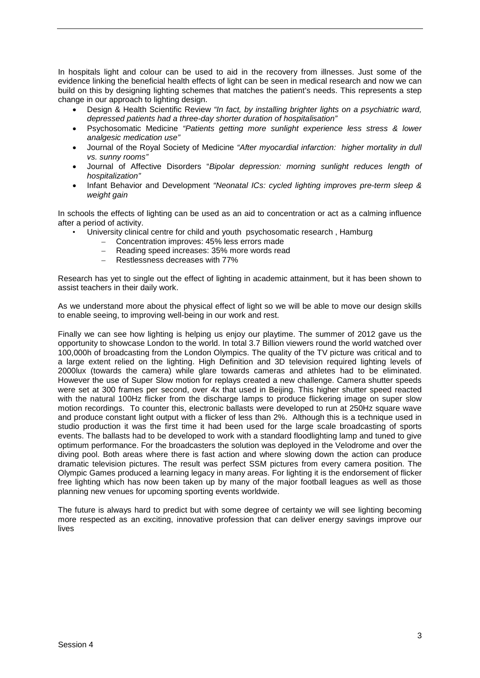In hospitals light and colour can be used to aid in the recovery from illnesses. Just some of the evidence linking the beneficial health effects of light can be seen in medical research and now we can build on this by designing lighting schemes that matches the patient's needs. This represents a step change in our approach to lighting design.

- Design & Health Scientific Review *"In fact, by installing brighter lights on a psychiatric ward, depressed patients had a three-day shorter duration of hospitalisation"*
- Psychosomatic Medicine *"Patients getting more sunlight experience less stress & lower analgesic medication use"*
- Journal of the Royal Society of Medicine *"After myocardial infarction: higher mortality in dull vs. sunny rooms"*
- Journal of Affective Disorders "*Bipolar depression: morning sunlight reduces length of hospitalization"*
- Infant Behavior and Development *"Neonatal ICs: cycled lighting improves pre-term sleep & weight gain*

In schools the effects of lighting can be used as an aid to concentration or act as a calming influence after a period of activity.

- University clinical centre for child and youth psychosomatic research , Hamburg
	- Concentration improves: 45% less errors made
	- Reading speed increases: 35% more words read
	- Restlessness decreases with 77%

Research has yet to single out the effect of lighting in academic attainment, but it has been shown to assist teachers in their daily work.

As we understand more about the physical effect of light so we will be able to move our design skills to enable seeing, to improving well-being in our work and rest.

Finally we can see how lighting is helping us enjoy our playtime. The summer of 2012 gave us the opportunity to showcase London to the world. In total 3.7 Billion viewers round the world watched over 100,000h of broadcasting from the London Olympics. The quality of the TV picture was critical and to a large extent relied on the lighting. High Definition and 3D television required lighting levels of 2000lux (towards the camera) while glare towards cameras and athletes had to be eliminated. However the use of Super Slow motion for replays created a new challenge. Camera shutter speeds were set at 300 frames per second, over 4x that used in Beijing. This higher shutter speed reacted with the natural 100Hz flicker from the discharge lamps to produce flickering image on super slow motion recordings. To counter this, electronic ballasts were developed to run at 250Hz square wave and produce constant light output with a flicker of less than 2%. Although this is a technique used in studio production it was the first time it had been used for the large scale broadcasting of sports events. The ballasts had to be developed to work with a standard floodlighting lamp and tuned to give optimum performance. For the broadcasters the solution was deployed in the Velodrome and over the diving pool. Both areas where there is fast action and where slowing down the action can produce dramatic television pictures. The result was perfect SSM pictures from every camera position. The Olympic Games produced a learning legacy in many areas. For lighting it is the endorsement of flicker free lighting which has now been taken up by many of the major football leagues as well as those planning new venues for upcoming sporting events worldwide.

The future is always hard to predict but with some degree of certainty we will see lighting becoming more respected as an exciting, innovative profession that can deliver energy savings improve our lives